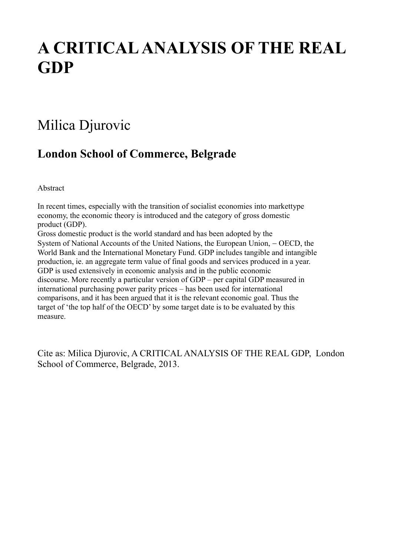# **A CRITICAL ANALYSIS OF THE REAL GDP**

## Milica Djurovic

### **London School of Commerce, Belgrade**

Abstract

In recent times, especially with the transition of socialist economies into markettype economy, the economic theory is introduced and the category of gross domestic product (GDP).

Gross domestic product is the world standard and has been adopted by the System of National Accounts of the United Nations, the European Union, - OECD, the World Bank and the International Monetary Fund. GDP includes tangible and intangible production, ie. an aggregate term value of final goods and services produced in a year. GDP is used extensively in economic analysis and in the public economic discourse. More recently a particular version of GDP – per capital GDP measured in international purchasing power parity prices – has been used for international comparisons, and it has been argued that it is the relevant economic goal. Thus the target of 'the top half of the OECD' by some target date is to be evaluated by this measure.

Cite as: Milica Djurovic, A CRITICAL ANALYSIS OF THE REAL GDP, London School of Commerce, Belgrade, 2013.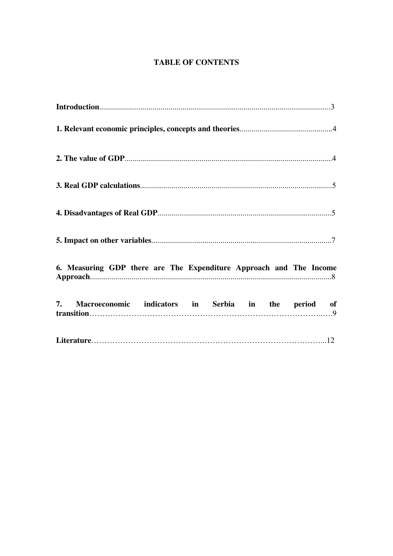#### **TABLE OF CONTENTS**

| 6. Measuring GDP there are The Expenditure Approach and The Income |
|--------------------------------------------------------------------|
| 7. Macroeconomic indicators in Serbia in the period of             |
|                                                                    |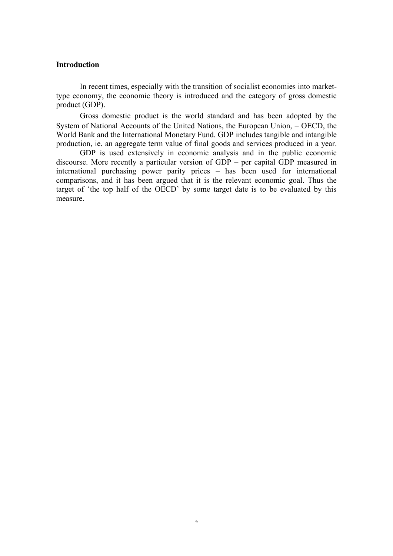#### **Introduction**

In recent times, especially with the transition of socialist economies into markettype economy, the economic theory is introduced and the category of gross domestic product (GDP).

Gross domestic product is the world standard and has been adopted by the System of National Accounts of the United Nations, the European Union, - OECD, the World Bank and the International Monetary Fund. GDP includes tangible and intangible production, ie. an aggregate term value of final goods and services produced in a year.

GDP is used extensively in economic analysis and in the public economic discourse. More recently a particular version of GDP – per capital GDP measured in international purchasing power parity prices – has been used for international comparisons, and it has been argued that it is the relevant economic goal. Thus the target of 'the top half of the OECD' by some target date is to be evaluated by this measure.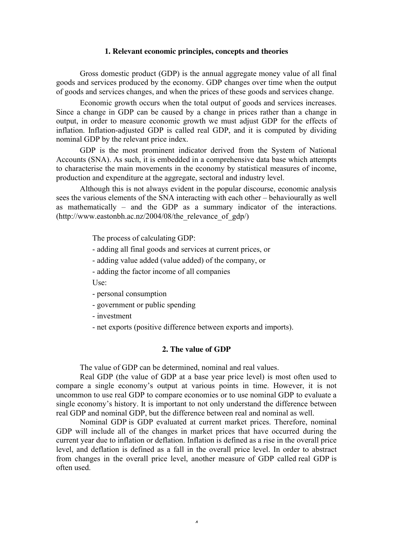#### **1. Relevant economic principles, concepts and theories**

Gross domestic product (GDP) is the annual aggregate money value of all final goods and services produced by the economy. GDP changes over time when the output of goods and services changes, and when the prices of these goods and services change.

Economic growth occurs when the total output of goods and services increases. Since a change in GDP can be caused by a change in prices rather than a change in output, in order to measure economic growth we must adjust GDP for the effects of inflation. Inflation-adjusted GDP is called real GDP, and it is computed by dividing nominal GDP by the relevant price index.

GDP is the most prominent indicator derived from the System of National Accounts (SNA). As such, it is embedded in a comprehensive data base which attempts to characterise the main movements in the economy by statistical measures of income, production and expenditure at the aggregate, sectoral and industry level.

Although this is not always evident in the popular discourse, economic analysis sees the various elements of the SNA interacting with each other – behaviourally as well as mathematically – and the GDP as a summary indicator of the interactions.  $(http://www.eastonbh.ac.nz/2004/08/the$  relevance of  $gdp/$ 

The process of calculating GDP:

- adding all final goods and services at current prices, or
- adding value added (value added) of the company, or
- adding the factor income of all companies

Use:

- personal consumption
- government or public spending
- investment
- net exports (positive difference between exports and imports).

#### **2. The value of GDP**

The value of GDP can be determined, nominal and real values.

Real GDP (the value of GDP at a base year price level) is most often used to compare a single economy's output at various points in time. However, it is not uncommon to use real GDP to compare economies or to use nominal GDP to evaluate a single economy's history. It is important to not only understand the difference between real GDP and nominal GDP, but the difference between real and nominal as well.

Nominal GDP is GDP evaluated at current market prices. Therefore, nominal GDP will include all of the changes in market prices that have occurred during the current year due to inflation or deflation. Inflation is defined as a rise in the overall price level, and deflation is defined as a fall in the overall price level. In order to abstract from changes in the overall price level, another measure of GDP called real GDP is often used.

4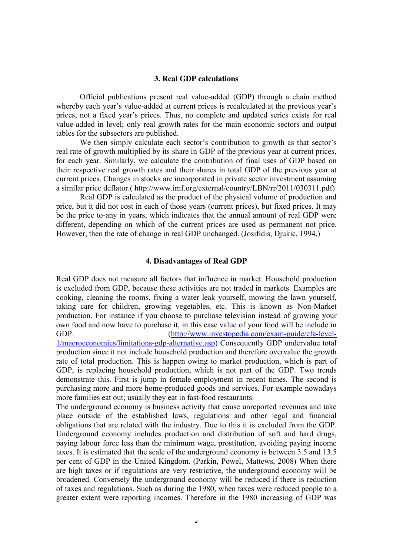#### **3. Real GDP calculations**

Official publications present real value-added (GDP) through a chain method whereby each year's value-added at current prices is recalculated at the previous year's prices, not a fixed year's prices. Thus, no complete and updated series exists for real value-added in level; only real growth rates for the main economic sectors and output tables for the subsectors are published.

We then simply calculate each sector's contribution to growth as that sector's real rate of growth multiplied by its share in GDP of the previous year at current prices, for each year. Similarly, we calculate the contribution of final uses of GDP based on their respective real growth rates and their shares in total GDP of the previous year at current prices. Changes in stocks are incorporated in private sector investment assuming a similar price deflator.( [http://www.imf.org/external/country/LBN/rr/2011/030311.pdf\)](http://www.imf.org/external/country/LBN/rr/2011/030311.pdf)

Real GDP is calculated as the product of the physical volume of production and price, but it did not cost in each of those years (current prices), but fixed prices. It may be the price to-any in years, which indicates that the annual amount of real GDP were different, depending on which of the current prices are used as permanent not price. However, then the rate of change in real GDP unchanged. (Josifidis, Djukic, 1994.)

#### **4. Disadvantages of Real GDP**

Real GDP does not measure all factors that influence in market. Household production is excluded from GDP, because these activities are not traded in markets. Examples are cooking, cleaning the rooms, fixing a water leak yourself, mowing the lawn yourself, taking care for children, growing vegetables, etc. This is known as Non-Market production. For instance if you choose to purchase television instead of growing your own food and now have to purchase it, in this case value of your food will be include in GDP. [\(http://www.investopedia.com/exam-guide/cfa-level-](http://www.investopedia.com/exam-guide/cfa-level-1/macroeconomics/limitations-gdp-alternative.asp)[1/macroeconomics/limitations-gdp-alternative.asp\)](http://www.investopedia.com/exam-guide/cfa-level-1/macroeconomics/limitations-gdp-alternative.asp) Consequently GDP undervalue total production since it not include household production and therefore overvalue the growth rate of total production. This is happen owing to market production, which is part of GDP, is replacing household production, which is not part of the GDP. Two trends demonstrate this. First is jump in female employment in recent times. The second is purchasing more and more home-produced goods and services. For example nowadays more families eat out; usually they eat in fast-food restaurants.

The underground economy is business activity that cause unreported revenues and take place outside of the established laws, regulations and other legal and financial obligations that are related with the industry. Due to this it is excluded from the GDP. Underground economy includes production and distribution of soft and hard drugs, paying labour force less than the minimum wage, prostitution, avoiding paying income taxes. It is estimated that the scale of the underground economy is between 3.5 and 13.5 per cent of GDP in the United Kingdom. (Parkin, Powel, Mattews, 2008) When there are high taxes or if regulations are very restrictive, the underground economy will be broadened. Conversely the underground economy will be reduced if there is reduction of taxes and regulations. Such as during the 1980, when taxes were reduced people to a greater extent were reporting incomes. Therefore in the 1980 increasing of GDP was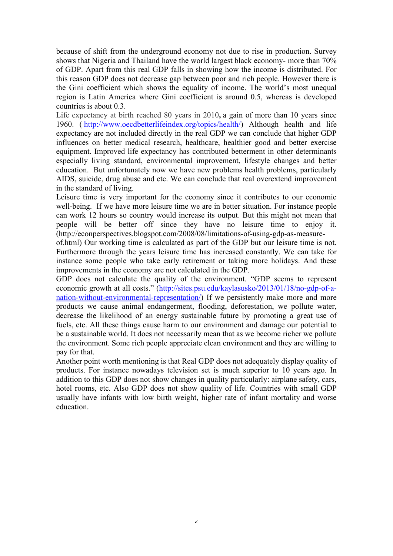because of shift from the underground economy not due to rise in production. Survey shows that Nigeria and Thailand have the world largest black economy- more than 70% of GDP. Apart from this real GDP falls in showing how the income is distributed. For this reason GDP does not decrease gap between poor and rich people. However there is the Gini coefficient which shows the equality of income. The world's most unequal region is Latin America where Gini coefficient is around 0.5, whereas is developed countries is about 0.3.

Life expectancy at birth reached 80 years in 2010**,** a gain of more than 10 years since 1960. ( [http://www.oecdbetterlifeindex.org/topics/health/\)](http://www.oecdbetterlifeindex.org/topics/health/) Although health and life expectancy are not included directly in the real GDP we can conclude that higher GDP influences on better medical research, healthcare, healthier good and better exercise equipment. Improved life expectancy has contributed betterment in other determinants especially living standard, environmental improvement, lifestyle changes and better education. But unfortunately now we have new problems health problems, particularly AIDS, suicide, drug abuse and etc. We can conclude that real overextend improvement in the standard of living.

Leisure time is very important for the economy since it contributes to our economic well-being. If we have more leisure time we are in better situation. For instance people can work 12 hours so country would increase its output. But this might not mean that people will be better off since they have no leisure time to enjoy it. (http://econperspectives.blogspot.com/2008/08/limitations-of-using-gdp-as-measure-

of.html) Our working time is calculated as part of the GDP but our leisure time is not. Furthermore through the years leisure time has increased constantly. We can take for instance some people who take early retirement or taking more holidays. And these improvements in the economy are not calculated in the GDP.

GDP does not calculate the quality of the environment. "GDP seems to represent economic growth at all costs." [\(http://sites.psu.edu/kaylasusko/2013/01/18/no-gdp-of-a](http://sites.psu.edu/kaylasusko/2013/01/18/no-gdp-of-a-nation-without-environmental-representation/)[nation-without-environmental-representation/\)](http://sites.psu.edu/kaylasusko/2013/01/18/no-gdp-of-a-nation-without-environmental-representation/) If we persistently make more and more products we cause animal endangerment, flooding, deforestation, we pollute water, decrease the likelihood of an energy sustainable future by promoting a great use of fuels, etc. All these things cause harm to our environment and damage our potential to be a sustainable world. It does not necessarily mean that as we become richer we pollute the environment. Some rich people appreciate clean environment and they are willing to pay for that.

Another point worth mentioning is that Real GDP does not adequately display quality of products. For instance nowadays television set is much superior to 10 years ago. In addition to this GDP does not show changes in quality particularly: airplane safety, cars, hotel rooms, etc. Also GDP does not show quality of life. Countries with small GDP usually have infants with low birth weight, higher rate of infant mortality and worse education.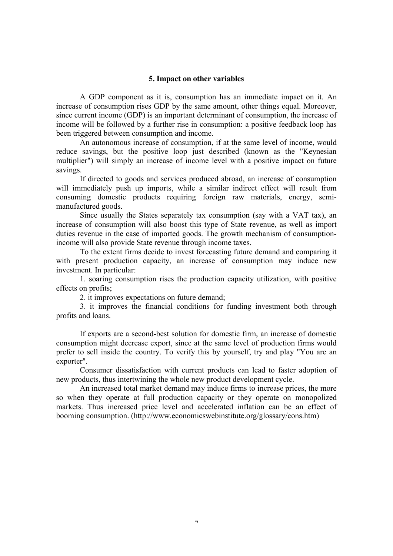#### **5. Impact on other variables**

A [GDP](http://www.economicswebinstitute.org/glossary/gdp.htm) component as it is, consumption has an immediate impact on it. An increase of consumption rises GDP by the same amount, other things equal. Moreover, since current income (GDP) is an important determinant of consumption, the increase of income will be followed by a further rise in consumption: a [positive feedback loop](http://www.economicswebinstitute.org/glossary/feedback.htm) has been triggered between consumption and income.

An autonomous increase of consumption, if at the same level of income, would reduce [savings,](http://www.economicswebinstitute.org/glossary/savings.htm) but the positive loop just described (known as the "Keynesian multiplier") will simply an increase of income level with a positive impact on future savings.

If directed to goods and services produced abroad, an increase of consumption will immediately push up [imports,](http://www.economicswebinstitute.org/glossary/imports.htm) while a similar indirect effect will result from consuming domestic products requiring foreign raw materials, [energy,](http://www.economicswebinstitute.org/glossary/energy.htm) semimanufactured goods.

Since usually the States separately tax consumption (say with a VAT tax), an increase of consumption will also boost this type of [State revenue,](http://www.economicswebinstitute.org/glossary/taxrev.htm) as well as import duties revenue in the case of imported goods. The growth mechanism of consumptionincome will also provide State revenue through income taxes.

To the extent firms decide to invest forecasting future demand and comparing it with present production capacity, an increase of consumption may induce new [investment.](http://www.economicswebinstitute.org/glossary/invest.htm) In particular:

1. soaring consumption rises the production capacity utilization, with positive effects on [profits;](http://www.economicswebinstitute.org/glossary/profits.htm)

2. it improves expectations on future demand;

3. it improves the financial conditions for funding investment both through profits and loans.

If exports are a second-best solution for domestic firm, an increase of domestic consumption might decrease [export,](http://www.economicswebinstitute.org/glossary/exports.htm) since at the same level of production firms would prefer to sell inside the country. To verify this by yourself, try and play ["You are an](http://www.economicswebinstitute.org/software/exporter.htm)  [exporter"](http://www.economicswebinstitute.org/software/exporter.htm).

Consumer dissatisfaction with current products can lead to faster adoption of new products, thus intertwining the whole new product development cycle.

An increased total market demand may induce firms to increase prices, the more so when they operate at full production capacity or they operate on [monopolized](http://www.economicswebinstitute.org/essays/monopolist.htm)  [markets.](http://www.economicswebinstitute.org/essays/monopolist.htm) Thus increased [price level](http://www.economicswebinstitute.org/glossary/pricel.htm) and accelerated [inflation](http://www.economicswebinstitute.org/glossary/inflat.htm) can be an effect of booming consumption. (http://www.economicswebinstitute.org/glossary/cons.htm)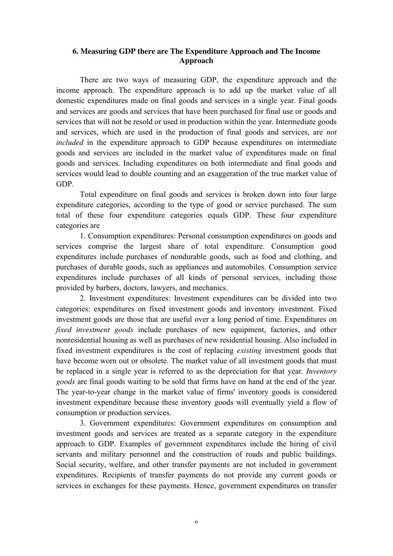#### **6. Measuring GDP there are The Expenditure Approach and The Income Approach**

There are two ways of measuring GDP, the expenditure approach and the income approach. The expenditure approach is to add up the market value of all domestic expenditures made on final goods and services in a single year. Final goods and services are goods and services that have been purchased for final use or goods and services that will not be resold or used in production within the year. Intermediate goods and services, which are used in the production of final goods and services, are *not included* in the expenditure approach to GDP because expenditures on intermediate goods and services are included in the market value of expenditures made on final goods and services. Including expenditures on both intermediate and final goods and services would lead to double counting and an exaggeration of the true market value of GDP.

Total expenditure on final goods and services is broken down into four large expenditure categories, according to the type of good or service purchased. The sum total of these four expenditure categories equals GDP. These four expenditure categories are

1. Consumption expenditures: Personal consumption expenditures on goods and services comprise the largest share of total expenditure. Consumption good expenditures include purchases of nondurable goods, such as food and clothing, and purchases of durable goods, such as appliances and automobiles. Consumption service expenditures include purchases of all kinds of personal services, including those provided by barbers, doctors, lawyers, and mechanics.

2. Investment expenditures: Investment expenditures can be divided into two categories: expenditures on fixed investment goods and inventory investment. Fixed investment goods are those that are useful over a long period of time. Expenditures on *fixed investment goods* include purchases of new equipment, factories, and other nonresidential housing as well as purchases of new residential housing. Also included in fixed investment expenditures is the cost of replacing *existing* investment goods that have become worn out or obsolete. The market value of all investment goods that must be replaced in a single year is referred to as the depreciation for that year. *Inventory goods* are final goods waiting to be sold that firms have on hand at the end of the year. The year-to-year change in the market value of firms' inventory goods is considered investment expenditure because these inventory goods will eventually yield a flow of consumption or production services.

3. Government expenditures: Government expenditures on consumption and investment goods and services are treated as a separate category in the expenditure approach to GDP. Examples of government expenditures include the hiring of civil servants and military personnel and the construction of roads and public buildings. Social security, welfare, and other transfer payments are not included in government expenditures. Recipients of transfer payments do not provide any current goods or services in exchanges for these payments. Hence, government expenditures on transfer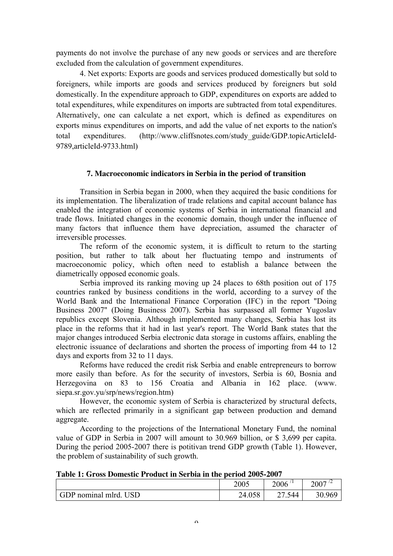payments do not involve the purchase of any new goods or services and are therefore excluded from the calculation of government expenditures.

4. Net exports: Exports are goods and services produced domestically but sold to foreigners, while imports are goods and services produced by foreigners but sold domestically. In the expenditure approach to GDP, expenditures on exports are added to total expenditures, while expenditures on imports are subtracted from total expenditures. Alternatively, one can calculate a net export, which is defined as expenditures on exports minus expenditures on imports, and add the value of net exports to the nation's total expenditures. (http://www.cliffsnotes.com/study\_guide/GDP.topicArticleId-9789,articleId-9733.html)

#### **7. Macroeconomic indicators in Serbia in the period of transition**

Transition in Serbia began in 2000, when they acquired the basic conditions for its implementation. The liberalization of trade relations and capital account balance has enabled the integration of economic systems of Serbia in international financial and trade flows. Initiated changes in the economic domain, though under the influence of many factors that influence them have depreciation, assumed the character of irreversible processes.

The reform of the economic system, it is difficult to return to the starting position, but rather to talk about her fluctuating tempo and instruments of macroeconomic policy, which often need to establish a balance between the diametrically opposed economic goals.

Serbia improved its ranking moving up 24 places to 68th position out of 175 countries ranked by business conditions in the world, according to a survey of the World Bank and the International Finance Corporation (IFC) in the report "Doing Business 2007" (Doing Business 2007). Serbia has surpassed all former Yugoslav republics except Slovenia. Although implemented many changes, Serbia has lost its place in the reforms that it had in last year's report. The World Bank states that the major changes introduced Serbia electronic data storage in customs affairs, enabling the electronic issuance of declarations and shorten the process of importing from 44 to 12 days and exports from 32 to 11 days.

Reforms have reduced the credit risk Serbia and enable entrepreneurs to borrow more easily than before. As for the security of investors, Serbia is 60, Bosnia and Herzegovina on 83 to 156 Croatia and Albania in 162 place. [\(www.](http://www.siepa.sr.gov.yu/srp/news/region.htm)  [siepa.sr.gov.yu/srp/news/region.htm\)](http://www.siepa.sr.gov.yu/srp/news/region.htm)

However, the economic system of Serbia is characterized by structural defects, which are reflected primarily in a significant gap between production and demand aggregate.

According to the projections of the International Monetary Fund, the nominal value of GDP in Serbia in 2007 will amount to 30.969 billion, or \$ 3,699 per capita. During the period 2005-2007 there is potitivan trend GDP growth (Table 1). However, the problem of sustainability of such growth.

|  | Table 1: Gross Domestic Product in Serbia in the period 2005-2007 |  |  |
|--|-------------------------------------------------------------------|--|--|
|--|-------------------------------------------------------------------|--|--|

|                   | 2005   | 2006                                | 2007   |
|-------------------|--------|-------------------------------------|--------|
| GDP nominal mlrd. | 24.058 | 544<br>∼<br>$\cdot$ $\cdot$ $\cdot$ | 30.969 |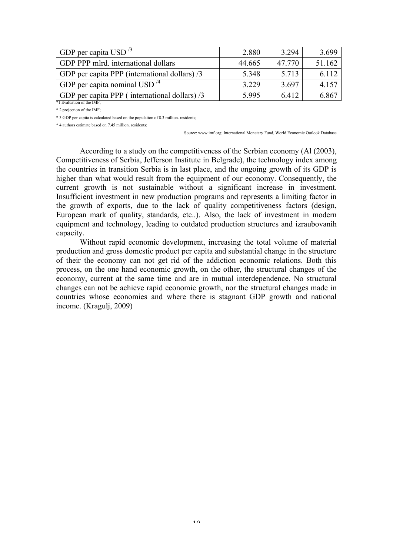| GDP per capita USD $\frac{3}{5}$              | 2.880  | 3.294  | 3.699  |
|-----------------------------------------------|--------|--------|--------|
| GDP PPP mlrd. international dollars           | 44.665 | 47.770 | 51.162 |
| GDP per capita PPP (international dollars) /3 | 5.348  | 5.713  | 6.112  |
| GDP per capita nominal USD $^{4}$             | 3.229  | 3.697  | 4.157  |
| GDP per capita PPP (international dollars) /3 | 5.995  | 6.412  | 6.867  |
| *1 Evaluation of the IMF                      |        |        |        |

\* 2 projection of the IMF;

\* 3 GDP per capita is calculated based on the population of 8.3 million. residents;

\* 4 authors estimate based on 7.45 million. residents;

Source: www.imf.org: International Monetary Fund, World Economic Outlook Database

According to a study on the competitiveness of the Serbian economy (Al (2003), Competitiveness of Serbia, Jefferson Institute in Belgrade), the technology index among the countries in transition Serbia is in last place, and the ongoing growth of its GDP is higher than what would result from the equipment of our economy. Consequently, the current growth is not sustainable without a significant increase in investment. Insufficient investment in new production programs and represents a limiting factor in the growth of exports, due to the lack of quality competitiveness factors (design, European mark of quality, standards, etc..). Also, the lack of investment in modern equipment and technology, leading to outdated production structures and izraubovanih capacity.

Without rapid economic development, increasing the total volume of material production and gross domestic product per capita and substantial change in the structure of their the economy can not get rid of the addiction economic relations. Both this process, on the one hand economic growth, on the other, the structural changes of the economy, current at the same time and are in mutual interdependence. No structural changes can not be achieve rapid economic growth, nor the structural changes made in countries whose economies and where there is stagnant GDP growth and national income. (Kragulj, 2009)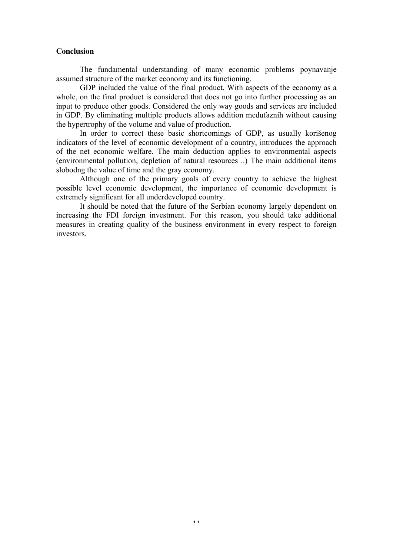#### **Conclusion**

The fundamental understanding of many economic problems poynavanje assumed structure of the market economy and its functioning.

GDP included the value of the final product. With aspects of the economy as a whole, on the final product is considered that does not go into further processing as an input to produce other goods. Considered the only way goods and services are included in GDP. By eliminating multiple products allows addition medufaznih without causing the hypertrophy of the volume and value of production.

In order to correct these basic shortcomings of GDP, as usually korišenog indicators of the level of economic development of a country, introduces the approach of the net economic welfare. The main deduction applies to environmental aspects (environmental pollution, depletion of natural resources ..) The main additional items slobodng the value of time and the gray economy.

Although one of the primary goals of every country to achieve the highest possible level economic development, the importance of economic development is extremely significant for all underdeveloped country.

It should be noted that the future of the Serbian economy largely dependent on increasing the FDI foreign investment. For this reason, you should take additional measures in creating quality of the business environment in every respect to foreign investors.

11